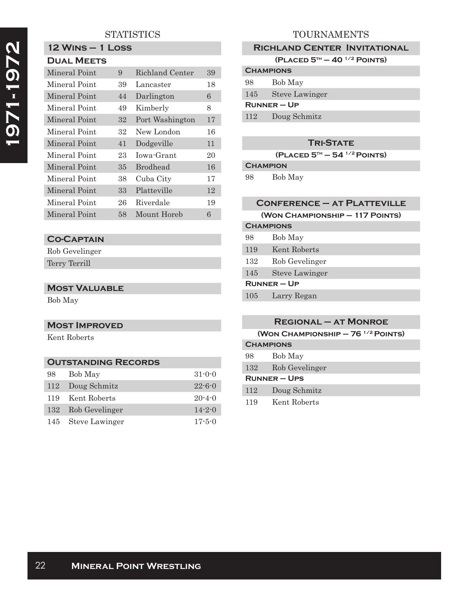# **STATISTICS**

# **1971-1972**  1971-1972

#### **12 Wins – 1 Loss Dual Meets**

| Mineral Point | 9  | Richland Center | 39 |
|---------------|----|-----------------|----|
| Mineral Point | 39 | Lancaster       | 18 |
| Mineral Point | 44 | Darlington      | 6  |
| Mineral Point | 49 | Kimberly        | 8  |
| Mineral Point | 32 | Port Washington | 17 |
| Mineral Point | 32 | New London      | 16 |
| Mineral Point | 41 | Dodgeville      | 11 |
| Mineral Point | 23 | Iowa-Grant      | 20 |
| Mineral Point | 35 | <b>Brodhead</b> | 16 |
| Mineral Point | 38 | Cuba City       | 17 |
| Mineral Point | 33 | Platteville     | 12 |
| Mineral Point | 26 | Riverdale       | 19 |
| Mineral Point | 58 | Mount Horeb     | 6  |

### **Co-Captain**

Rob Gevelinger Terry Terrill

#### **Most Valuable**

Bob May

### **Most Improved**

Kent Roberts

# **Outstanding Records** 98 Bob May 31-0-0 112 Doug Schmitz 22-6-0 119 Kent Roberts 20-4-0 132 Rob Gevelinger 14-2-0 145 Steve Lawinger 17-5-0

## TOURNAMENTS

#### **Richland Center Invitational**

**(Placed 5th – 40 1/2 Points)**

| <b>CHAMPIONS</b> |                |  |
|------------------|----------------|--|
| 98               | Bob May        |  |
| 145              | Steve Lawinger |  |
| $R$ UNNER – UP   |                |  |
| 112              | Doug Schmitz   |  |

#### **Tri-State**

**(Placed 5th – 54 1/2 Points)**

## **Champion**

98 Bob May

| <b>CONFERENCE - AT PLATTEVILLE</b> |                       |  |  |
|------------------------------------|-----------------------|--|--|
| (WON CHAMPIONSHIP - 117 POINTS)    |                       |  |  |
| <b>CHAMPIONS</b>                   |                       |  |  |
| 98                                 | Bob May               |  |  |
| 119                                | Kent Roberts          |  |  |
| 132                                | Rob Gevelinger        |  |  |
| 145                                | <b>Steve Lawinger</b> |  |  |
| $RUNNER - UP$                      |                       |  |  |
| 105                                | Larry Regan           |  |  |

|                  | <b>REGIONAL - AT MONROE</b>              |  |
|------------------|------------------------------------------|--|
|                  | (WON CHAMPIONSHIP $-76$ $^{1/2}$ POINTS) |  |
| <b>CHAMPIONS</b> |                                          |  |
| 98               | Bob May                                  |  |
| 132              | Rob Gevelinger                           |  |
| $RUNNER - UPS$   |                                          |  |
| 112              | Doug Schmitz                             |  |
| 119              | Kent Roberts                             |  |